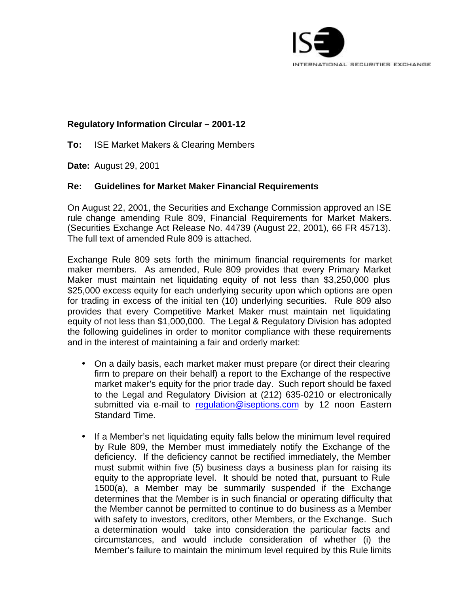

# **Regulatory Information Circular – 2001-12**

**To:** ISE Market Makers & Clearing Members

**Date:** August 29, 2001

#### **Re: Guidelines for Market Maker Financial Requirements**

On August 22, 2001, the Securities and Exchange Commission approved an ISE rule change amending Rule 809, Financial Requirements for Market Makers. (Securities Exchange Act Release No. 44739 (August 22, 2001), 66 FR 45713). The full text of amended Rule 809 is attached.

Exchange Rule 809 sets forth the minimum financial requirements for market maker members. As amended, Rule 809 provides that every Primary Market Maker must maintain net liquidating equity of not less than \$3,250,000 plus \$25,000 excess equity for each underlying security upon which options are open for trading in excess of the initial ten (10) underlying securities. Rule 809 also provides that every Competitive Market Maker must maintain net liquidating equity of not less than \$1,000,000. The Legal & Regulatory Division has adopted the following guidelines in order to monitor compliance with these requirements and in the interest of maintaining a fair and orderly market:

- On a daily basis, each market maker must prepare (or direct their clearing firm to prepare on their behalf) a report to the Exchange of the respective market maker's equity for the prior trade day. Such report should be faxed to the Legal and Regulatory Division at (212) 635-0210 or electronically submitted via e-mail to regulation@iseptions.com by 12 noon Eastern Standard Time.
- If a Member's net liquidating equity falls below the minimum level required by Rule 809, the Member must immediately notify the Exchange of the deficiency. If the deficiency cannot be rectified immediately, the Member must submit within five (5) business days a business plan for raising its equity to the appropriate level. It should be noted that, pursuant to Rule 1500(a), a Member may be summarily suspended if the Exchange determines that the Member is in such financial or operating difficulty that the Member cannot be permitted to continue to do business as a Member with safety to investors, creditors, other Members, or the Exchange. Such a determination would take into consideration the particular facts and circumstances, and would include consideration of whether (i) the Member's failure to maintain the minimum level required by this Rule limits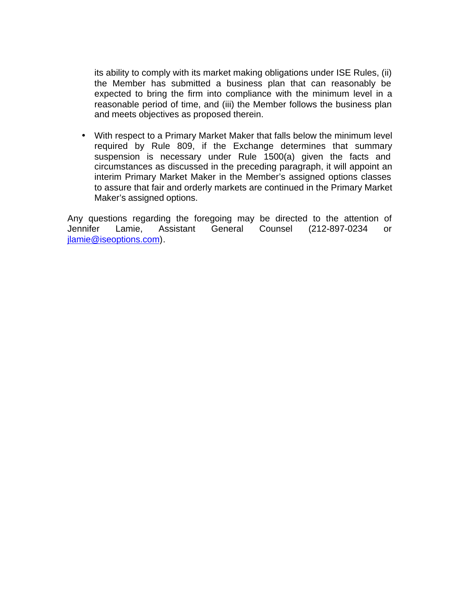its ability to comply with its market making obligations under ISE Rules, (ii) the Member has submitted a business plan that can reasonably be expected to bring the firm into compliance with the minimum level in a reasonable period of time, and (iii) the Member follows the business plan and meets objectives as proposed therein.

• With respect to a Primary Market Maker that falls below the minimum level required by Rule 809, if the Exchange determines that summary suspension is necessary under Rule 1500(a) given the facts and circumstances as discussed in the preceding paragraph, it will appoint an interim Primary Market Maker in the Member's assigned options classes to assure that fair and orderly markets are continued in the Primary Market Maker's assigned options.

Any questions regarding the foregoing may be directed to the attention of Jennifer Lamie, Assistant General Counsel (212-897-0234 or jlamie@iseoptions.com).